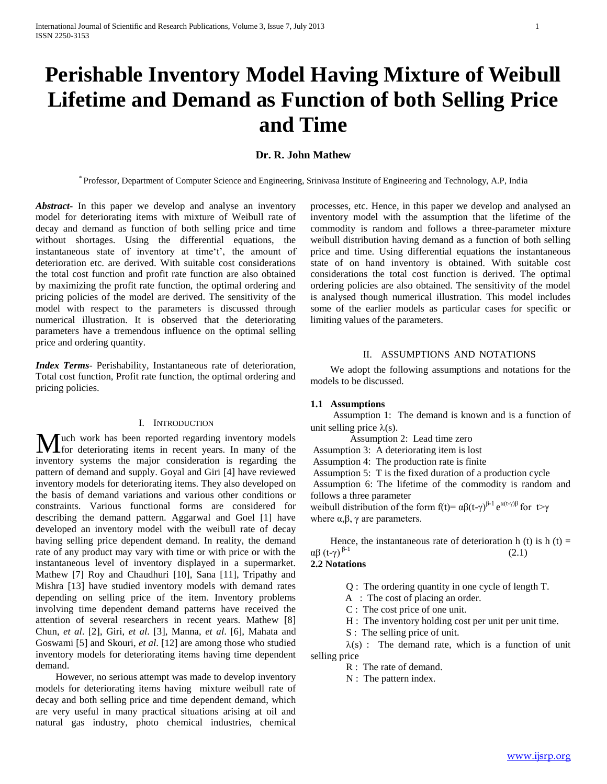# **Perishable Inventory Model Having Mixture of Weibull Lifetime and Demand as Function of both Selling Price and Time**

## **Dr. R. John Mathew**

\* Professor, Department of Computer Science and Engineering, Srinivasa Institute of Engineering and Technology, A.P, India

*Abstract***-** In this paper we develop and analyse an inventory model for deteriorating items with mixture of Weibull rate of decay and demand as function of both selling price and time without shortages. Using the differential equations, the instantaneous state of inventory at time't', the amount of deterioration etc. are derived. With suitable cost considerations the total cost function and profit rate function are also obtained by maximizing the profit rate function, the optimal ordering and pricing policies of the model are derived. The sensitivity of the model with respect to the parameters is discussed through numerical illustration. It is observed that the deteriorating parameters have a tremendous influence on the optimal selling price and ordering quantity.

*Index Terms*- Perishability, Instantaneous rate of deterioration, Total cost function, Profit rate function, the optimal ordering and pricing policies.

## I. INTRODUCTION

**I** uch work has been reported regarding inventory models **M** uch work has been reported regarding inventory models for deteriorating items in recent years. In many of the inventory systems the major consideration is regarding the pattern of demand and supply. Goyal and Giri [4] have reviewed inventory models for deteriorating items. They also developed on the basis of demand variations and various other conditions or constraints. Various functional forms are considered for describing the demand pattern. Aggarwal and Goel [1] have developed an inventory model with the weibull rate of decay having selling price dependent demand. In reality, the demand rate of any product may vary with time or with price or with the instantaneous level of inventory displayed in a supermarket. Mathew [7] Roy and Chaudhuri [10], Sana [11], Tripathy and Mishra [13] have studied inventory models with demand rates depending on selling price of the item. Inventory problems involving time dependent demand patterns have received the attention of several researchers in recent years. Mathew [8] Chun, *et al*. [2], Giri, *et al*. [3], Manna, *et al*. [6], Mahata and Goswami [5] and Skouri, *et al*. [12] are among those who studied inventory models for deteriorating items having time dependent demand.

 However, no serious attempt was made to develop inventory models for deteriorating items having mixture weibull rate of decay and both selling price and time dependent demand, which are very useful in many practical situations arising at oil and natural gas industry, photo chemical industries, chemical processes, etc. Hence, in this paper we develop and analysed an inventory model with the assumption that the lifetime of the commodity is random and follows a three-parameter mixture weibull distribution having demand as a function of both selling price and time. Using differential equations the instantaneous state of on hand inventory is obtained. With suitable cost considerations the total cost function is derived. The optimal ordering policies are also obtained. The sensitivity of the model is analysed though numerical illustration. This model includes some of the earlier models as particular cases for specific or limiting values of the parameters.

### II. ASSUMPTIONS AND NOTATIONS

 We adopt the following assumptions and notations for the models to be discussed.

## **1.1 Assumptions**

 Assumption 1: The demand is known and is a function of unit selling price  $\lambda(s)$ .

Assumption 2: Lead time zero

Assumption 3: A deteriorating item is lost

Assumption 4: The production rate is finite

Assumption 5: T is the fixed duration of a production cycle

Assumption 6: The lifetime of the commodity is random and follows a three parameter

weibull distribution of the form  $f(t) = \alpha \beta (t - \gamma)^{\beta-1} e^{\alpha (t - \gamma)\beta}$  for  $t > \gamma$ where  $\alpha, \beta, \gamma$  are parameters.

Hence, the instantaneous rate of deterioration h (t) is h (t)  $=$  $\alpha\beta(t-\gamma)^{\beta-1}$  (2.1)

## **2.2 Notations**

Q : The ordering quantity in one cycle of length T.

A : The cost of placing an order.

C : The cost price of one unit.

H : The inventory holding cost per unit per unit time.

S : The selling price of unit.

 $\lambda(s)$ : The demand rate, which is a function of unit selling price

R : The rate of demand.

N : The pattern index.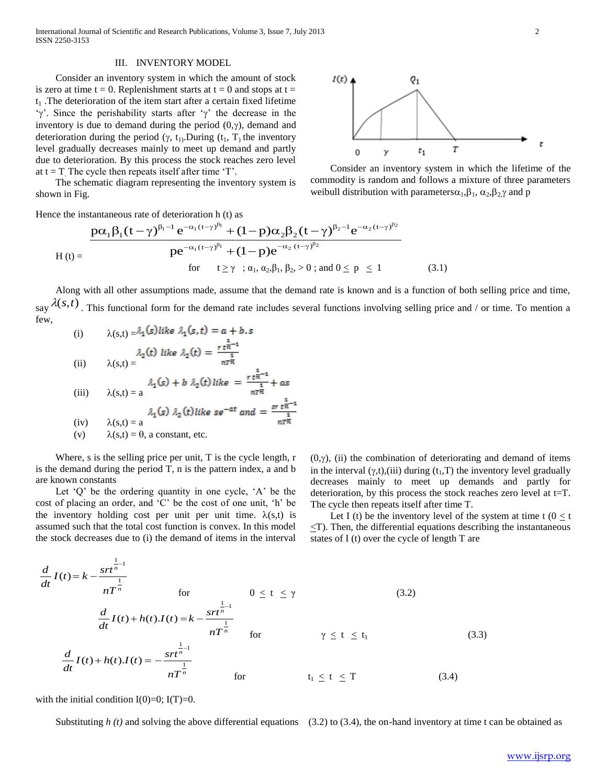International Journal of Scientific and Research Publications, Volume 3, Issue 7, July 2013 2 ISSN 2250-3153

#### III. INVENTORY MODEL

Consider an inventory system in which the amount of stock is zero at time  $t = 0$ . Replenishment starts at  $t = 0$  and stops at  $t =$  $t_1$ . The deterioration of the item start after a certain fixed lifetime ' $\gamma$ '. Since the perishability starts after ' $\gamma$ ' the decrease in the inventory is due to demand during the period  $(0, \gamma)$ , demand and deterioration during the period  $(\gamma, t_1)$ . During  $(t_1, T)$  the inventory level gradually decreases mainly to meet up demand and partly due to deterioration. By this process the stock reaches zero level at  $t = T$ . The cycle then repeats itself after time 'T'.

The schematic diagram representing the inventory system is shown in Fig.



Consider an inventory system in which the lifetime of the commodity is random and follows a mixture of three parameters weibull distribution with parameters  $\alpha_1, \beta_1, \alpha_2, \beta_2$  and p

shown in Fig.   
\nWhen the instantaneous rate of 
$$
\theta
$$
 is the instantaneous rate of  $\theta$  is the standard deviation. Then, we have 
$$
\frac{p\alpha_1 \beta_1 (t - \gamma)^{\beta_1 - 1} e^{-\alpha_1 (t - \gamma)^{\beta_1}} + (1 - p)\alpha_2 \beta_2 (t - \gamma)^{\beta_2 - 1} e^{-\alpha_2 (t - \gamma)^{\beta_2}}}{p e^{-\alpha_1 (t - \gamma)^{\beta_1}} + (1 - p)e^{-\alpha_2 (t - \gamma)^{\beta_2}}}
$$
\n
$$
H(t) = \frac{p e^{-\alpha_1 (t - \gamma)^{\beta_1}} + (1 - p)e^{-\alpha_2 (t - \gamma)^{\beta_2}}}{f(r - t \ge \gamma \quad ; \alpha_1, \alpha_2, \beta_1, \beta_2, > 0 \quad ; \text{and } 0 \le p \le 1} \tag{3.1}
$$

 Along with all other assumptions made, assume that the demand rate is known and is a function of both selling price and time, say  $\lambda(s,t)$ . This functional form for the demand rate includes several functions involving selling price and / or time. To mention a few,

(i) 
$$
\lambda(s,t) = \lambda_1 (s) like \lambda_1(s,t) = a + b.s
$$
  
\n(ii)  $\lambda(s,t) = \lambda_2(t) like \lambda_2(t) = \frac{r \frac{1}{t\pi} - 1}{n\tau\pi}$   
\n(iii)  $\lambda(s,t) = \lambda_1(s) + b \lambda_2(t) like = \frac{r \frac{1}{t\pi} - 1}{n\tau\pi} + as$   
\n(ii)  $\lambda(s,t) = a$   
\n(iv)  $\lambda(s,t) = a$   
\n(v)  $\lambda(s,t) = \theta$ , a constant, etc.

Where, s is the selling price per unit, T is the cycle length, r is the demand during the period T, n is the pattern index, a and b are known constants

Let  $Q'$  be the ordering quantity in one cycle,  $A'$  be the cost of placing an order, and "C" be the cost of one unit, "h" be the inventory holding cost per unit per unit time.  $\lambda(s,t)$  is assumed such that the total cost function is convex. In this model the stock decreases due to (i) the demand of items in the interval

 $(0, \gamma)$ , (ii) the combination of deteriorating and demand of items in the interval  $(y,t)$ ,(iii) during  $(t_1,T)$  the inventory level gradually decreases mainly to meet up demands and partly for deterioration, by this process the stock reaches zero level at t=T. The cycle then repeats itself after time T.

Let I (t) be the inventory level of the system at time t ( $0 \le t$  $\leq$ T). Then, the differential equations describing the instantaneous states of I (t) over the cycle of length T are

$$
\frac{d}{dt}I(t) = k - \frac{str^{\frac{1}{n}}}{nT^{\frac{1}{n}}} \qquad \text{for} \qquad 0 \le t \le \gamma \qquad (3.2)
$$
\n
$$
\frac{d}{dt}I(t) + h(t)J(t) = k - \frac{str^{\frac{1}{n}}}{nT^{\frac{1}{n}}} \qquad \text{for} \qquad \gamma \le t \le t_1
$$
\n
$$
\frac{d}{dt}I(t) + h(t)J(t) = -\frac{str^{\frac{1}{n}}}{nT^{\frac{1}{n}}} \qquad \text{for} \qquad \gamma \le t \le t_1 \qquad (3.3)
$$
\n
$$
\frac{d}{dt}I(t) + h(t)J(t) = -\frac{str^{\frac{1}{n}}}{nT^{\frac{1}{n}}} \qquad \text{for} \qquad t_1 \le t \le T \qquad (3.4)
$$

with the initial condition  $I(0)=0$ ;  $I(T)=0$ .

Substituting  $h(t)$  and solving the above differential equations (3.2) to (3.4), the on-hand inventory at time t can be obtained as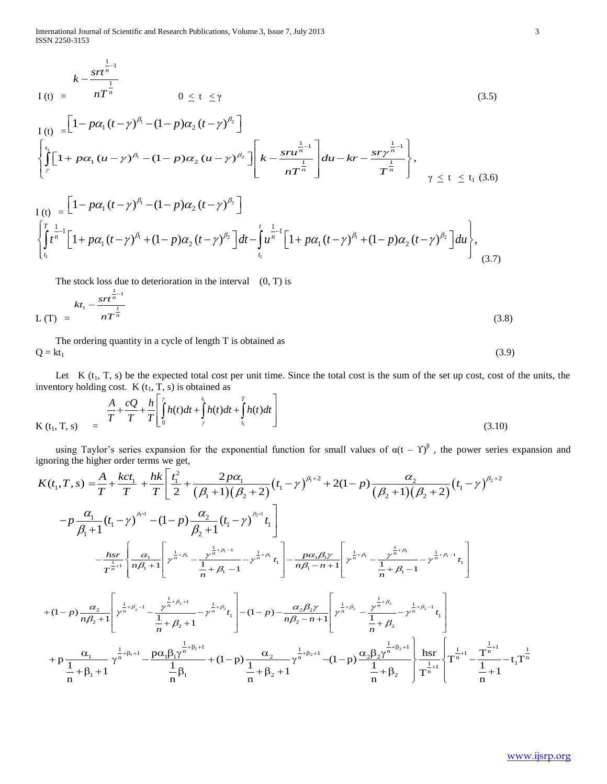International Journal of Scientific and Research Publications, Volume 3, Issue 7, July 2013 3 ISSN 2250-3153

$$
k - \frac{2rt^{1}}{nT^{1}}
$$
  
\n
$$
I(t) = nT^{\frac{1}{n}}
$$
  
\n
$$
0 \le t \le \gamma
$$
  
\n
$$
I(t) = \left[1 - p\alpha_{1}(t - \gamma)^{\beta_{1}} - (1 - p)\alpha_{2}(t - \gamma)^{\beta_{2}}\right]
$$
  
\n
$$
\left\{\int_{\gamma}^{t_{1}} [1 + p\alpha_{1}(u - \gamma)^{\beta_{1}} - (1 - p)\alpha_{2}(u - \gamma)^{\beta_{2}}] \left[k - \frac{2rt^{1}}{nT^{\frac{1}{n}}}\right]du - kr - \frac{2rt^{1}}{nT^{\frac{1}{n}}}\right\}, \gamma \le t \le t_{1} (3.6)
$$

$$
\begin{aligned}\nI(t) &= \frac{1 - p\alpha_1 (t - \gamma)^{n_1} - (1 - p)\alpha_2 (t - \gamma)^{n_2}}{\left[\int_{\gamma}^{t_1} \left[1 + p\alpha_1 (u - \gamma)^{\beta_1} - (1 - p)\alpha_2 (u - \gamma)^{\beta_2}\right] \left[k - \frac{sru^{\frac{1}{n-1}}}{nT^{\frac{1}{n}}}\right] du - kr - \frac{sr\gamma^{\frac{1}{n-1}}}{T^{\frac{1}{n}}}\right]}, \\
\gamma &\leq t \leq t_1 \ (3.6)\n\end{aligned}
$$

$$
\left\{\int_{\gamma}^{1} \left[1 + p\alpha_{1}(u-\gamma)^{\beta_{1}} - (1-p)\alpha_{2}(u-\gamma)^{\beta_{2}}\right]\right] k - \frac{3\alpha_{1}}{nT^{\frac{1}{n}}}\right\} du - kr - \frac{3\gamma}{T^{\frac{1}{n}}}\right\},
$$
\n
$$
I(t) = \left[1 - p\alpha_{1}(t-\gamma)^{\beta_{1}} - (1-p)\alpha_{2}(t-\gamma)^{\beta_{2}}\right]
$$
\n
$$
\left\{\int_{t_{1}}^{T} t^{\frac{1}{n}-1}\left[1 + p\alpha_{1}(t-\gamma)^{\beta_{1}} + (1-p)\alpha_{2}(t-\gamma)^{\beta_{2}}\right]dt - \int_{t_{1}}^{t} u^{\frac{1}{n}-1}\left[1 + p\alpha_{1}(t-\gamma)^{\beta_{1}} + (1-p)\alpha_{2}(t-\gamma)^{\beta_{2}}\right]du\right\},
$$
\n(3.7)

The stock loss due to deterioration in the interval  $(0, T)$  is

$$
L(T) = \frac{kt_1 - \frac{3rt^{\frac{1}{n-1}}}{nT^{\frac{1}{n}}}}{(3.8)}
$$

 The ordering quantity in a cycle of length T is obtained as  $Q = kt_1$ 

Let  $K(t_1, T, s)$  be the expected total cost per unit time. Since the total cost is the sum of the set up cost, cost of the units, the

inventory holding cost. K (t<sub>1</sub>, T, s) is obtained as  
\n
$$
\frac{A}{T} + \frac{cQ}{T} + \frac{h}{T} \left[ \int_{0}^{\tau} h(t)dt + \int_{\tau}^{t_1} h(t)dt + \int_{t_1}^{T} h(t)dt \right]
$$
\n
$$
(3.10)
$$

using Taylor's series expansion for the exponential function for small values of α(t – Y)<sup>β</sup>, the power series expansion and ignoring the higher order terms we get,<br>  $K(t_1, T, s) = \frac{A}{T} + \frac{kct_1}{T} + \frac{hk}{T} \left[ \frac{t_1^2}{2} + \frac{$ ignoring the higher order terms we get, or the exponential function for small values of  $\alpha(t - \Upsilon)^{\beta}$ , the power series expansive get,<br>  $\frac{t_1^2}{\cdots} + \frac{2p\alpha_1}{\cdots} (t_1 - \gamma)^{\beta_1 + 2} + 2(1 - p) \frac{\alpha_2}{\cdots} (t_1 - \gamma)^{\beta_2 + 2}$ 

$$
K(t_1, T, s) = T T T I_0^{\frac{1}{2}} \frac{1}{r} \left[ \frac{1}{2} + \frac{1}{2} \frac{1}{r} \frac{1}{r} \frac{1}{r} \frac{1}{r} \frac{1}{r} \frac{1}{r} \frac{1}{r} \frac{1}{r} \frac{1}{r} \frac{1}{r} \frac{1}{r} \frac{1}{r} \frac{1}{r} \frac{1}{r} \frac{1}{r} \frac{1}{r} \frac{1}{r} \frac{1}{r} \frac{1}{r} \frac{1}{r} \frac{1}{r} \frac{1}{r} \frac{1}{r} \frac{1}{r} \frac{1}{r} \frac{1}{r} \frac{1}{r} \frac{1}{r} \frac{1}{r} \frac{1}{r} \frac{1}{r} \frac{1}{r} \frac{1}{r} \frac{1}{r} \frac{1}{r} \frac{1}{r} \frac{1}{r} \frac{1}{r} \frac{1}{r} \frac{1}{r} \frac{1}{r} \frac{1}{r} \frac{1}{r} \frac{1}{r} \frac{1}{r} \frac{1}{r} \frac{1}{r} \frac{1}{r} \frac{1}{r} \frac{1}{r} \frac{1}{r} \frac{1}{r} \frac{1}{r} \frac{1}{r} \frac{1}{r} \frac{1}{r} \frac{1}{r} \frac{1}{r} \frac{1}{r} \frac{1}{r} \frac{1}{r} \frac{1}{r} \frac{1}{r} \frac{1}{r} \frac{1}{r} \frac{1}{r} \frac{1}{r} \frac{1}{r} \frac{1}{r} \frac{1}{r} \frac{1}{r} \frac{1}{r} \frac{1}{r} \frac{1}{r} \frac{1}{r} \frac{1}{r} \frac{1}{r} \frac{1}{r} \frac{1}{r} \frac{1}{r} \frac{1}{r} \frac{1}{r} \frac{1}{r} \frac{1}{r} \frac{1}{r} \frac{1}{r} \frac{1}{r} \frac{1}{r} \frac{1}{r} \frac{1}{r} \frac{1}{r} \frac{1}{r} \frac{1}{r} \frac{1}{r} \frac{1}{r} \frac{1}{r} \frac{1}{r} \frac{1}{r} \frac{1}{r} \frac{1}{r} \frac{1}{r} \frac{
$$

(3.9)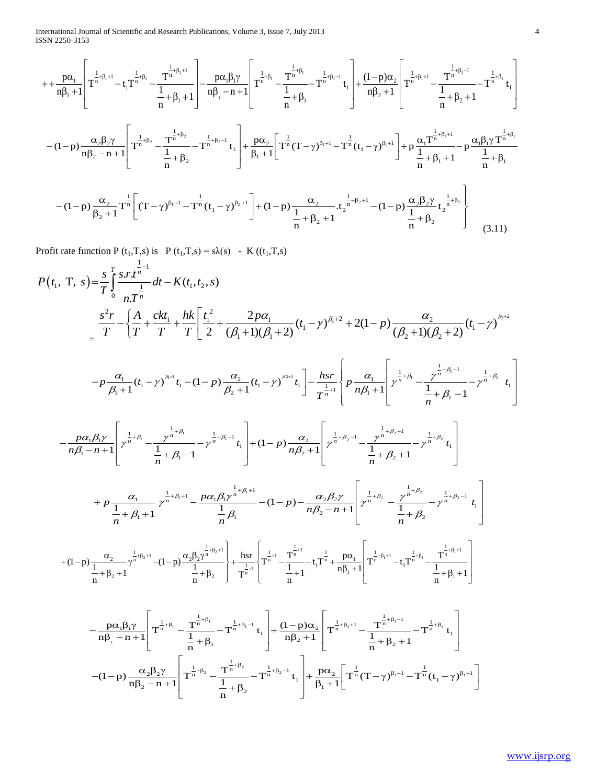International Journal of Scientific and Research Publications, Volume 3, Issue 7, July 2013 4 ISSN 2250-3153

\n The first *initial Journal of Scientific and Research Publications*, Volume 3, Issue 7, July 2013\n

\n\n The first 
$$
\frac{1}{2} \sin(3\theta) = \frac{1}{2} \left[ \frac{1}{2} \pi^{\frac{1}{16} + \beta_1 + 1} - t_1 \frac{1}{16} \pi^{\frac{1}{16} + \beta_1} - \frac{1}{16} \frac{1}{16} \pi^{\frac{1}{16} + \beta_1} - \frac{1}{16} \frac{1}{16} \pi^{\frac{1}{16} + \beta_1} - \frac{1}{16} \frac{1}{16} \pi^{\frac{1}{16} + \beta_1} - \frac{1}{16} \pi^{\frac{1}{16} + \beta_1} - \frac{1}{16} \pi^{\frac{1}{16} + \beta_1} - \frac{1}{16} \pi^{\frac{1}{16} + \beta_1} - \frac{1}{16} \pi^{\frac{1}{16} + \beta_1} - \frac{1}{16} \pi^{\frac{1}{16} + \beta_1} - \frac{1}{16} \pi^{\frac{1}{16} + \beta_1} - \frac{1}{16} \pi^{\frac{1}{16} + \beta_1} - \frac{1}{16} \pi^{\frac{1}{16} + \beta_1} - \frac{1}{16} \pi^{\frac{1}{16} + \beta_1} - \frac{1}{16} \pi^{\frac{1}{16} + \beta_1} - \frac{1}{16} \pi^{\frac{1}{16} + \beta_1} - \frac{1}{16} \pi^{\frac{1}{16} + \beta_1} - \frac{1}{16} \pi^{\frac{1}{16} + \beta_1} - \frac{1}{16} \pi^{\frac{1}{16} + \beta_1} - \frac{1}{16} \pi^{\frac{1}{16} + \beta_1} - \frac{1}{16} \pi^{\frac{1}{16} + \beta_1} - \frac{1}{16} \pi^{\frac{1}{16} + \beta_1} - \frac{1}{16} \pi^{\frac{1}{16} + \beta_1} - \frac{1}{16} \pi^{\frac{1}{16} + \beta_1} - \frac{1}{16} \pi^{\frac{1}{16} + \beta_1} - \frac{1}{16} \pi^{\frac{1
$$

Profit rate function P (t<sub>1</sub>, T, s) is P (t<sub>1</sub>, T, s) = sλ(s) - K ((t<sub>1</sub>, T, s)  
\n
$$
P(t_1, T, s) = \frac{s}{T} \int_0^s \frac{s \cdot r^{\frac{1}{T}}}{n \frac{1}{T}} dt - K(t_1, t_2, s)
$$
\n
$$
= \frac{s^2 r}{T} - \left\{ \frac{A}{T} + \frac{ckt_1}{T} + \frac{hk}{T} \left[ \frac{t_1^2}{2} + \frac{2p\alpha_1}{(\beta_1 + 1)(\beta_1 + 2)} (t_1 - \gamma)^{\beta_1 + 2} + 2(1 - p) \frac{\alpha_2}{(\beta_2 + 1)(\beta_2 + 2)} (t_1 - \gamma)^{\beta_2 + 2} \right] \right\}
$$
\n
$$
-p \frac{\alpha_1}{\beta_1 + 1} (t_1 - \gamma)^{\beta_1 + 1} (1 - p) \frac{\alpha_2}{\beta_2 + 1} (t_1 - \gamma)^{\beta_2 + 1} t_1 \left[ - \frac{hsr}{n\beta_1 + 1} \left[ p^{\frac{1}{n} + \beta_1} - \frac{p^{\frac{1}{n} + \beta_1 - 1}}{n} - p^{\frac{1}{n} + \beta_1} t_1 \right] \right]
$$
\n
$$
- \frac{p\alpha_1 \beta_1 \gamma}{n\beta_1 - n + 1} \left[ p^{\frac{1}{n} + \beta_1} - \frac{p^{\frac{1}{n} + \beta_1}}{1} - p^{\frac{1}{n} + \beta_1 + 1} t_1 \right] + (1 - p) \frac{\alpha_2}{n\beta_2 + 1} \left[ p^{\frac{1}{n} + \beta_2 + 1} - \frac{p^{\frac{1}{n} + \beta_1 - 1}}{1} - p^{\frac{1}{n} + \beta_1} t_1 \right]
$$
\n
$$
+ p \frac{\alpha_1}{1 + \beta_1 + 1} p^{\frac{1}{n} + \beta_1 + 1} - \frac{p\alpha_1 \beta_1 p^{\frac{1}{n} + \beta_1 + 1}}{1 - \beta_1} - (1 - p) - \frac{\alpha_2 \beta_2 \gamma}{n\beta_2 - n + 1} \left[ p^{\frac{1}{
$$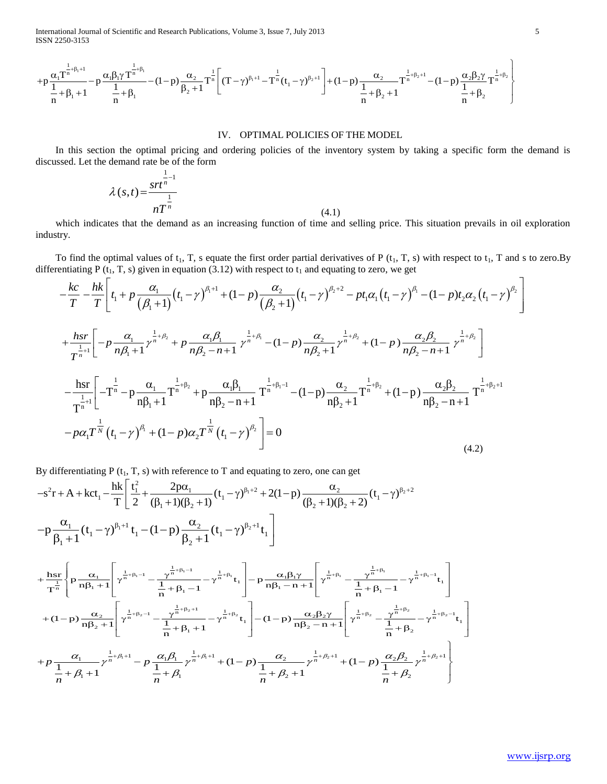ISSN 2250-3153

International Journal of Scientific and Research Publications, Volume 3, Issue 7, July 2013

\nISSN 2250-3153

\n
$$
+p\frac{\alpha_1 T^{\frac{1}{n}+\beta_1+1}}{1+\beta_1} - p\frac{\alpha_1 \beta_1 \gamma T^{\frac{1}{n}+\beta_1}}{1+\beta_1} - (1-p)\frac{\alpha_2}{\beta_2+1}T^{\frac{1}{n}} \left[ (T-\gamma)^{\beta_1+1} - T^{\frac{1}{n}}(t_1-\gamma)^{\beta_2+1} \right] + (1-p)\frac{\alpha_2}{1+\beta_2+1}T^{\frac{1}{n}+\beta_2+1} - (1-p)\frac{\alpha_2 \beta_2 \gamma}{1+\beta_2}T^{\frac{1}{n}+\beta_2}
$$

#### IV. OPTIMAL POLICIES OF THE MODEL

 In this section the optimal pricing and ordering policies of the inventory system by taking a specific form the demand is discussed. Let the demand rate be of the form

$$
\lambda(s,t) = \frac{srt^{\frac{1}{n-1}}}{nT^{\frac{1}{n}}}
$$
\n(4.1)

 which indicates that the demand as an increasing function of time and selling price. This situation prevails in oil exploration industry.

To find the optimal values of t<sub>1</sub>, T, s equate the first order partial derivatives of P (t<sub>1</sub>, T, s) with respect to t<sub>1</sub>, T and s to zero. By differentiating P (t<sub>1</sub>, T, s) given in equation (3.12) with respect to t<sub>1</sub> pptimal values of t<sub>1</sub>, T, s equate the first order partial derivatives of P (t<sub>1</sub>, T, s) with respect to t<sub>1</sub>, T and s<br>
t<sub>1</sub>, T, s) given in equation (3.12) with respect to t<sub>1</sub> and equating to zero, we get<br>  $\left[ t_1 + p \frac{\$ 

industry.  
\nTo find the optimal values of t<sub>1</sub>, T, s equate the first order partial derivatives of P (t<sub>1</sub>, T, s) with respect to t<sub>1</sub>, T and s to zero. By  
\ndifferentiating P (t<sub>1</sub>, T, s) given in equation (3.12) with respect to t<sub>1</sub> and equating to zero, we get  
\n
$$
-\frac{k c}{T} - \frac{h k}{T} \left[ t_1 + p \frac{\alpha_1}{(\beta_1 + 1)} (t_1 - \gamma)^{\beta_1 + 1} + (1 - p) \frac{\alpha_2}{(\beta_2 + 1)} (t_1 - \gamma)^{\beta_2 + 2} - pt_1 \alpha_1 (t_1 - \gamma)^{\beta_1} - (1 - p) t_2 \alpha_2 (t_1 - \gamma)^{\beta_2} \right]
$$
\n
$$
+ \frac{h s r}{T^{\frac{1}{n}+1}} \left[ -p \frac{\alpha_1}{n\beta_1 + 1} \gamma^{\frac{1}{n} + \beta_2} + p \frac{\alpha_1 \beta_1}{n\beta_2 - n + 1} \gamma^{\frac{1}{n} + \beta_1} - (1 - p) \frac{\alpha_2}{n\beta_2 + 1} \gamma^{\frac{1}{n} + \beta_2} + (1 - p) \frac{\alpha_2 \beta_2}{n\beta_2 - n + 1} \gamma^{\frac{1}{n} + \beta_2} \right]
$$
\n
$$
- \frac{h s r}{T^{\frac{1}{n}+1}} \left[ -T^{\frac{1}{n}} - p \frac{\alpha_1}{n\beta_1 + 1} \gamma^{\frac{1}{n} + \beta_2} + p \frac{\alpha_1 \beta_1}{n\beta_2 - n + 1} T^{\frac{1}{n} + \beta_1 - 1} - (1 - p) \frac{\alpha_2}{n\beta_2 + 1} \gamma^{\frac{1}{n} + \beta_2} + (1 - p) \frac{\alpha_2 \beta_2}{n\beta_2 - n + 1} T^{\frac{1}{n} + \beta_2 + 1}
$$
\n
$$
- p \alpha_1 T^{\frac{1}{N}} (t_1 - \gamma)^{\beta_1} + (1 - p) \alpha_2 T^{\frac{1}{N}} (t_1 - \gamma)^{\beta_2} \right] = 0
$$
\n(4.2)

By differentiating P (t<sub>1</sub>, T, s) with reference to T and equating to zero, one can get  
\n
$$
-s^{2}r + A + kct_{1} - \frac{hk}{T} \left[ \frac{t^{2}}{2} + \frac{2p\alpha_{1}}{(\beta_{1}+1)(\beta_{2}+1)}(t_{1}-\gamma)^{\beta_{1}+2} + 2(1-p) \frac{\alpha_{2}}{(\beta_{2}+1)(\beta_{2}+2)}(t_{1}-\gamma)^{\beta_{2}+2} - p \frac{\alpha_{1}}{\beta_{1}+1}(t_{1}-\gamma)^{\beta_{1}+1}t_{1} - (1-p) \frac{\alpha_{2}}{\beta_{2}+1}(t_{1}-\gamma)^{\beta_{2}+1}t_{1} \right]
$$
\n
$$
+ \frac{hsr}{T^{n}} \left\{ p \frac{\alpha_{1}}{n\beta_{1}+1} \left[ \gamma^{\frac{1}{n}+ \beta_{1}-1} - \frac{\gamma^{\frac{1}{n}+ \beta_{1}-1}}{\frac{1}{n}+\beta_{1}-1} - \gamma^{\frac{1}{n}+ \beta_{1}}t_{1} \right] - p \frac{\alpha_{1}\beta_{1}\gamma}{n\beta_{1}-n+1} \left[ \gamma^{\frac{1}{n}+ \beta_{1}} - \frac{\gamma^{\frac{1}{n}+ \beta_{1}}}{\frac{1}{n}+\beta_{1}-1} - \gamma^{\frac{1}{n}+ \beta_{1}}t_{1} \right] + (1-p) \frac{\alpha_{2}}{n\beta_{2}+1} \left[ \gamma^{\frac{1}{n}+ \beta_{1}-1} - \gamma^{\frac{1}{n}+ \beta_{1}}t_{1} \right] - (1-p) \frac{\alpha_{2}\beta_{2}\gamma}{n\beta_{2}-n+1} \left[ \gamma^{\frac{1}{n}+ \beta_{2}} - \frac{\gamma^{\frac{1}{n}+ \beta_{1}}}{\frac{1}{n}+\beta_{2}} - \gamma^{\frac{1}{n}+ \beta_{2}-1}t_{1} \right]
$$
\n
$$
+ p \frac{\alpha_{1}}{n\beta_{2}+1} \left[ \gamma^{\frac{1}{n}+\beta_{2}-1} - p \frac{\alpha_{1}\beta_{1}}{n} \gamma^{\frac{1}{n}+\beta_{1}} + (1-p) \frac{\alpha_{2}}{n} \gamma^{\frac{1}{n}+\beta_{2}+1} + (1-p) \frac{\alpha_{2}\beta_{
$$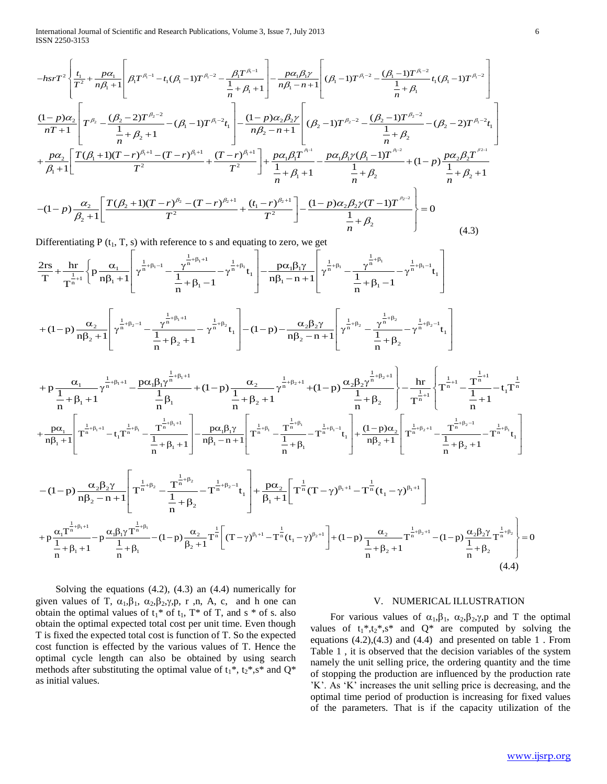ISSN 2250-3153

International Journal of Scientific and Research Publications, Volume 3, Issue 7, July 2013  
\nISSN 2250-3153  
\n
$$
-hsrT^{2}\left\{\frac{t_{1}}{T^{2}}+\frac{p\alpha_{1}}{n\beta_{1}+1}\left[\beta_{1}T^{\beta_{1}-1}-t_{1}(\beta_{1}-1)T^{\beta_{1}-2}-\frac{\beta_{1}T^{\beta_{1}-1}}{\frac{1}{n}+\beta_{1}+1}\right]-\frac{p\alpha_{1}\beta_{1}Y}{n\beta_{1}-n+1}\left[(\beta_{1}-1)T^{\beta_{1}-2}-\frac{(\beta_{1}-1)T^{\beta_{1}-2}}{\frac{1}{n}+\beta_{1}}t_{1}(\beta_{1}-1)T^{\beta_{1}-2}\right]\right\}
$$
\n
$$
\frac{(1-p)\alpha_{2}}{nT+1}\left[T^{\beta_{2}}-\frac{(\beta_{2}-2)T^{\beta_{2}-2}}{\frac{1}{n}+\beta_{2}+1}-(\beta_{1}-1)T^{\beta_{1}-2}t_{1}\right]-\frac{(1-p)\alpha_{2}\beta_{2}Y}{n\beta_{2}-n+1}\left[(\beta_{2}-1)T^{\beta_{2}-2}-\frac{(\beta_{2}-1)T^{\beta_{2}-2}}{\frac{1}{n}+\beta_{2}}-(\beta_{2}-2)T^{\beta_{1}-2}t_{1}\right]
$$
\n
$$
+\frac{p\alpha_{2}}{\beta_{1}+1}\left[\frac{T(\beta_{1}+1)(T-r)^{\beta_{1}+1}-(T-r)^{\beta_{1}+1}}{T^{2}}+\frac{(T-r)^{\beta_{1}+1}}{T^{2}}\right]+\frac{p\alpha_{1}\beta_{1}T^{\beta_{1}-1}}{\frac{1}{n}+\beta_{1}+1}-\frac{p\alpha_{1}\beta_{1}Y(\beta_{1}-1)T^{\beta_{1}-2}}{\frac{1}{n}+\beta_{2}}+(1-p)\frac{p\alpha_{2}\beta_{2}T^{\beta_{2}-1}}{\frac{1}{n}+\beta_{2}+1}
$$
\n
$$
-(1-p)\frac{\alpha_{2}}{\beta_{2}+1}\left[\frac{T(\beta_{2}+1)(T-r)^{\beta_{2}}-(T-r)^{\beta_{2}+1}}{T^{2}}+\frac{(t_{1}-r)^{\beta_{2}+1}}{T^{2}}\right]-\frac{(1-p)\alpha_{2}\beta_{2}Y(T-1)T^{\beta_{2}-2}}{\frac
$$

$$
(1 - P') \beta_{2} + 1 \Bigg[ T^{2} \Bigg] \frac{1}{n} + \beta_{2} \Bigg[ -\frac{1}{\alpha_{1} + \beta_{2}} \Bigg] \tag{4.3}
$$
\nDifferentiating P(t<sub>1</sub>, T, s) with reference to s and equating to zero, we get\n
$$
\frac{2rs}{T} + \frac{hr}{T^{n}} \Bigg\{ p \frac{\alpha_{1}}{n\beta_{1} + 1} \Bigg[ \gamma^{\frac{1}{n} + \beta_{1} - 1} - \frac{\gamma^{\frac{1}{n} + \beta_{1} + 1}}{1} - \gamma^{\frac{1}{n} + \beta_{1}} t_{1} \Bigg] - \frac{p\alpha_{1}\beta_{1}\gamma}{n\beta_{1} - n + 1} \Bigg[ \gamma^{\frac{1}{n} + \beta_{1}} - \frac{\gamma^{\frac{1}{n} + \beta_{1}}}{1} + \beta_{1} - 1 - \gamma^{\frac{1}{n} + \beta_{1} - 1} t_{1} \Bigg]
$$
\n
$$
(1 - p) \frac{\alpha_{2}}{1} \Bigg[ \frac{1}{n^{n} + \beta_{2} - 1} - \gamma^{\frac{1}{n} + \beta_{1} + 1} - \frac{1}{n^{n} + \beta_{2}} \Bigg] \tag{4.3}
$$
\n
$$
\alpha_{2}\beta_{2}\gamma \Bigg[ \frac{1}{n^{n} + \beta_{2}} - \gamma^{\frac{1}{n} + \beta_{2} - 1} t_{1} \Bigg] - \frac{1}{n^{n} + \beta_{2}} \Bigg[ \frac{1}{n^{n} + \beta_{2}} - \gamma^{\frac{1}{n} + \beta_{2} - 1} t_{1} \Bigg] - \frac{1}{n^{n} + \beta_{2}} \Bigg[ \frac{1}{n^{n} + \beta_{2}} - \gamma^{\frac{1}{n} + \beta_{2} - 1} t_{1} \Bigg]
$$
\n
$$
(1 - p) \frac{\alpha_{2}}{1} \Bigg[ \frac{1}{n^{n} + \beta_{2} - 1} - \gamma^{\frac{1}{n} + \beta_{1} + 1} t_{1} \Bigg] - \frac{1}{n^{n} + \beta_{2}} \Bigg[ \frac{1}{n^{n} + \beta_{2}} - \gamma^{\frac{1}{n} + \beta_{2} - 1} t_{1} \Bigg]
$$
\

$$
\frac{1}{T} + \frac{1}{T^{n+1}} \left\{ p \frac{1}{n\beta_1 + 1} \left[ \gamma^{n+1} - \frac{1}{1 + \beta_1 - 1} - \gamma^{n+1} t_1 \right] - \frac{1}{n\beta_1 - n + 1} \left[ \gamma^{n+1} - \frac{1}{1 + \beta_1 - 1} - \gamma^{n+1} t_1 \right] \right\}
$$
  
+  $(1-p) \frac{\alpha_2}{n\beta_2 + 1} \left[ \gamma^{n+1} - \frac{\gamma^{n+1}\beta_1 + 1}{1 + \beta_2 + 1} - \gamma^{n+1}\beta_1 t_1 \right] - (1-p) - \frac{\alpha_2 \beta_2 \gamma}{n\beta_2 - n + 1} \left[ \gamma^{n+1} - \frac{\gamma^{n+1}\beta_2}{1 + \beta_2} - \gamma^{n+1}\beta_1 t_1 \right]$   
+  $p \frac{\alpha_1}{1 + \beta_1 + 1} - \frac{\gamma^{n+1}\beta_1 + 1}{1 + \beta_1 + 1} - \frac{p\alpha_1 \beta_1 \gamma^{n+1}\beta_1 + 1}{1 + \beta_1 + 1} + (1-p) \frac{\alpha_2}{1 + \beta_2 + 1} + (1-p) \frac{\alpha_2 \beta_2 \gamma^{n+1}\beta_2 + 1}{1 + \beta_1 + 1} + (1-p) \frac{\alpha_2 \beta_2 \gamma^{n+1}\beta_2 + 1}{1 + \beta_1 + 1} + (1-p) \frac{\alpha_2 \beta_2 \gamma^{n+1}\beta_2 + 1}{1 + \beta_1 + 1} + (1-p) \frac{\alpha_2 \beta_2 \gamma^{n+1}\beta_2 + 1}{1 + \beta_1 + 1} + (1-p) \frac{\alpha_2 \beta_1 \gamma^{n+1}\beta_2 + 1}{1 + \beta_1 + 1} + (1-p) \frac{\alpha_2 \beta_2 \gamma^{n+1}\beta_2 + 1}{1 + \beta_1 + 1} + (1-p) \frac{\alpha_2 \beta_1 \gamma^{n+1}\beta_2 + 1}{1 + \beta_1 + 1} + (1-p) \frac{\alpha_2 \beta_1 \gamma^{n+1}\beta_2 + 1}{1 + \beta_1 + 1} + (1-p) \frac{\alpha_2 \beta_2 \gamma^{n+1}\beta_2 + 1}{1 + \beta_1 + 1} + ($ 

$$
+ (1-p) \frac{\alpha_2}{n\beta_2 + 1} \left[ \gamma^{\frac{1}{n} + \beta_2 - 1} - \frac{\gamma^{\frac{1}{n} + \beta_1 + 1}}{\frac{1}{n} + \beta_2 + 1} - \gamma^{\frac{1}{n} + \beta_2} t_1 \right] - (1-p) - \frac{\alpha_2\beta_2\gamma}{n\beta_2 - n + 1} \left[ \gamma^{\frac{1}{n} + \beta_2} - \frac{\gamma^{\frac{1}{n} + \beta_2 - 1}}{\frac{1}{n} + \beta_2} - \gamma^{\frac{1}{n} + \beta_2 - 1} t_1 \right]
$$
  
+ 
$$
p \frac{\alpha_1}{\frac{1}{n} + \beta_1 + 1} \gamma^{\frac{1}{n} + \beta_1 + 1} - \frac{p\alpha_1\beta_1\gamma^{\frac{1}{n} + \beta_1 + 1}}{\frac{1}{n} + \beta_1} + (1-p) \frac{\alpha_2}{\frac{1}{n} + \beta_2 + 1} + (1-p) \frac{\alpha_2\beta_2\gamma^{\frac{1}{n} + \beta_2 + 1}}{\frac{1}{n} + \beta_2} + \gamma^{\frac{1}{n} + \beta_1 + 1} \left[ -\frac{\gamma^{\frac{1}{n} + \beta_1 + 1}}{\frac{1}{n} + \beta_2} - \frac{\gamma^{\frac{1}{n} + \beta_1 + 1}}{\frac{1}{n} + \beta_2} \right] - \frac{1}{\frac{1}{n} + \beta_1} \left[ -\frac{\gamma^{\frac{1}{n} + \beta_1 + 1}}{\frac{1}{n} + \beta_2} - \frac{\gamma^{\frac{1}{n} + \beta_1 + 1}}{\frac{1}{n} + \beta_2} \right] - \frac{1}{\frac{1}{n} + \beta_1} \left[ -\frac{\gamma^{\frac{1}{n} + \beta_1 + 1}}{\frac{1}{n} + \beta_1} - \frac{\gamma^{\frac{1}{n} + \beta_1 + 1}}{\frac{1}{n} + \beta_1} \right] - \frac{p\alpha_1\beta_1\gamma}{n\beta_1 - n + 1} \left[ \gamma^{\frac{1}{n} + \beta_1} - \frac{\gamma^{\frac{1}{n} + \beta_1 + 1}}{\frac{1}{n} + \beta_1} - \frac{\gamma
$$

$$
-(1-p)\frac{\alpha_{2}\beta_{2}\gamma}{n\beta_{2}-n+1}\left[T^{\frac{1}{n}+\beta_{2}}_{n}-T^{\frac{1}{n}+\beta_{2}}_{n}-T^{\frac{1}{n}+\beta_{2}-1}t_{1}\right]+\frac{p\alpha_{2}}{\beta_{1}+1}\left[T^{\frac{1}{n}}(T-\gamma)^{\beta_{1}+1}-T^{\frac{1}{n}}(t_{1}-\gamma)^{\beta_{1}+1}\right] +p\frac{\alpha_{1}T^{\frac{1}{n}+\beta_{1}+1}}{\frac{1}{n}+\beta_{1}+1}-p\frac{\alpha_{1}\beta_{1}\gamma T^{\frac{1}{n}+\beta_{1}}_{n}}{\frac{1}{n}+\beta_{1}}-(1-p)\frac{\alpha_{2}}{\beta_{2}+1}T^{\frac{1}{n}}\left[(T-\gamma)^{\beta_{1}+1}-T^{\frac{1}{n}}(t_{1}-\gamma)^{\beta_{2}+1}\right]+(1-p)\frac{\alpha_{2}}{\frac{1}{n}+\beta_{2}+1}T^{\frac{1}{n}+\beta_{2}+1}- (1-p)\frac{\alpha_{2}\beta_{2}\gamma}{\frac{1}{n}+\beta_{2}}T^{\frac{1}{n}+\beta_{2}}\right]=0
$$
\n(4.4)

 Solving the equations (4.2), (4.3) an (4.4) numerically for given values of T,  $\alpha_1, \beta_1, \alpha_2, \beta_2, \gamma, p, r, n, A, c,$  and h one can obtain the optimal values of  $t_1$ <sup>\*</sup> of  $t_1$ , T<sup>\*</sup> of T, and s<sup>\*</sup> of s. also obtain the optimal expected total cost per unit time. Even though T is fixed the expected total cost is function of T. So the expected cost function is effected by the various values of T. Hence the optimal cycle length can also be obtained by using search methods after substituting the optimal value of  $t_1^*, t_2^*, s^*$  and  $Q^*$ as initial values.

#### V. NUMERICAL ILLUSTRATION

For various values of  $\alpha_1, \beta_1, \alpha_2, \beta_2, \gamma, p$  and T the optimal values of  $t_1^*, t_2^*, s^*$  and  $Q^*$  are computed by solving the equations (4.2),(4.3) and (4.4) and presented on table 1 . From Table 1 , it is observed that the decision variables of the system namely the unit selling price, the ordering quantity and the time of stopping the production are influenced by the production rate 'K'. As 'K' increases the unit selling price is decreasing, and the optimal time period of production is increasing for fixed values of the parameters. That is if the capacity utilization of the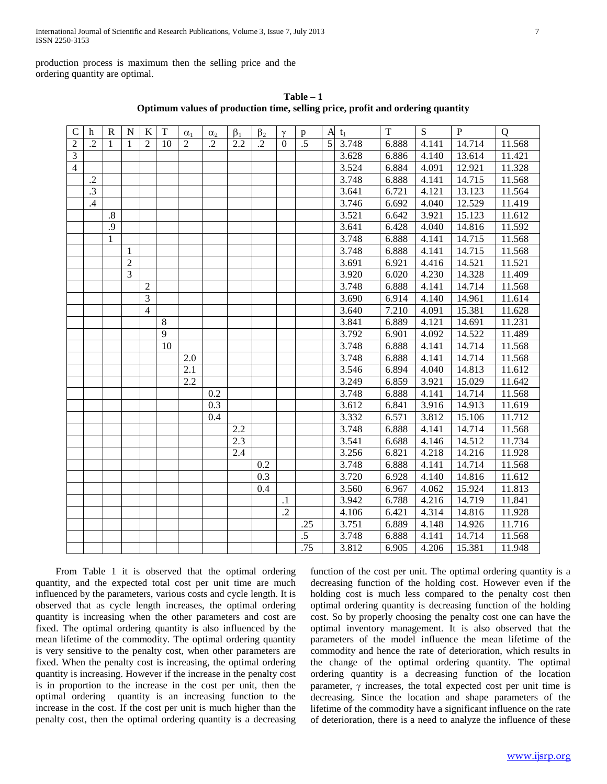production process is maximum then the selling price and the ordering quantity are optimal.

| C              | h               | $\mathbf R$  | ${\bf N}$      | $\mathbf{K}$   | T       | $\alpha_1$ | $\alpha_2$ | $\beta_1$ | $\beta_2$  | $\gamma$  | p               | A | $t_1$ | T     | S     | $\mathbf{P}$ | $\overline{Q}$ |
|----------------|-----------------|--------------|----------------|----------------|---------|------------|------------|-----------|------------|-----------|-----------------|---|-------|-------|-------|--------------|----------------|
| $\overline{2}$ | $\cdot$ .2      | $\mathbf{1}$ | $\mathbf{1}$   | $\mathfrak{D}$ | 10      | 2          | $\cdot$ .2 | 2.2       | $\cdot$ .2 | $\Omega$  | $\overline{.5}$ | 5 | 3.748 | 6.888 | 4.141 | 14.714       | 11.568         |
| $\overline{3}$ |                 |              |                |                |         |            |            |           |            |           |                 |   | 3.628 | 6.886 | 4.140 | 13.614       | 11.421         |
| $\overline{4}$ |                 |              |                |                |         |            |            |           |            |           |                 |   | 3.524 | 6.884 | 4.091 | 12.921       | 11.328         |
|                | $\cdot$         |              |                |                |         |            |            |           |            |           |                 |   | 3.748 | 6.888 | 4.141 | 14.715       | 11.568         |
|                | $\overline{.3}$ |              |                |                |         |            |            |           |            |           |                 |   | 3.641 | 6.721 | 4.121 | 13.123       | 11.564         |
|                | .4              |              |                |                |         |            |            |           |            |           |                 |   | 3.746 | 6.692 | 4.040 | 12.529       | 11.419         |
|                |                 | $\cdot$ 8    |                |                |         |            |            |           |            |           |                 |   | 3.521 | 6.642 | 3.921 | 15.123       | 11.612         |
|                |                 | .9           |                |                |         |            |            |           |            |           |                 |   | 3.641 | 6.428 | 4.040 | 14.816       | 11.592         |
|                |                 | $\mathbf{1}$ |                |                |         |            |            |           |            |           |                 |   | 3.748 | 6.888 | 4.141 | 14.715       | 11.568         |
|                |                 |              | 1              |                |         |            |            |           |            |           |                 |   | 3.748 | 6.888 | 4.141 | 14.715       | 11.568         |
|                |                 |              | $\overline{2}$ |                |         |            |            |           |            |           |                 |   | 3.691 | 6.921 | 4.416 | 14.521       | 11.521         |
|                |                 |              | 3              |                |         |            |            |           |            |           |                 |   | 3.920 | 6.020 | 4.230 | 14.328       | 11.409         |
|                |                 |              |                | $\overline{2}$ |         |            |            |           |            |           |                 |   | 3.748 | 6.888 | 4.141 | 14.714       | 11.568         |
|                |                 |              |                | 3              |         |            |            |           |            |           |                 |   | 3.690 | 6.914 | 4.140 | 14.961       | 11.614         |
|                |                 |              |                | $\overline{4}$ |         |            |            |           |            |           |                 |   | 3.640 | 7.210 | 4.091 | 15.381       | 11.628         |
|                |                 |              |                |                | $\,8\,$ |            |            |           |            |           |                 |   | 3.841 | 6.889 | 4.121 | 14.691       | 11.231         |
|                |                 |              |                |                | 9       |            |            |           |            |           |                 |   | 3.792 | 6.901 | 4.092 | 14.522       | 11.489         |
|                |                 |              |                |                | 10      |            |            |           |            |           |                 |   | 3.748 | 6.888 | 4.141 | 14.714       | 11.568         |
|                |                 |              |                |                |         | 2.0        |            |           |            |           |                 |   | 3.748 | 6.888 | 4.141 | 14.714       | 11.568         |
|                |                 |              |                |                |         | 2.1        |            |           |            |           |                 |   | 3.546 | 6.894 | 4.040 | 14.813       | 11.612         |
|                |                 |              |                |                |         | 2.2        |            |           |            |           |                 |   | 3.249 | 6.859 | 3.921 | 15.029       | 11.642         |
|                |                 |              |                |                |         |            | 0.2        |           |            |           |                 |   | 3.748 | 6.888 | 4.141 | 14.714       | 11.568         |
|                |                 |              |                |                |         |            | 0.3        |           |            |           |                 |   | 3.612 | 6.841 | 3.916 | 14.913       | 11.619         |
|                |                 |              |                |                |         |            | 0.4        |           |            |           |                 |   | 3.332 | 6.571 | 3.812 | 15.106       | 11.712         |
|                |                 |              |                |                |         |            |            | 2.2       |            |           |                 |   | 3.748 | 6.888 | 4.141 | 14.714       | 11.568         |
|                |                 |              |                |                |         |            |            | 2.3       |            |           |                 |   | 3.541 | 6.688 | 4.146 | 14.512       | 11.734         |
|                |                 |              |                |                |         |            |            | 2.4       |            |           |                 |   | 3.256 | 6.821 | 4.218 | 14.216       | 11.928         |
|                |                 |              |                |                |         |            |            |           | 0.2        |           |                 |   | 3.748 | 6.888 | 4.141 | 14.714       | 11.568         |
|                |                 |              |                |                |         |            |            |           | 0.3        |           |                 |   | 3.720 | 6.928 | 4.140 | 14.816       | 11.612         |
|                |                 |              |                |                |         |            |            |           | 0.4        |           |                 |   | 3.560 | 6.967 | 4.062 | 15.924       | 11.813         |
|                |                 |              |                |                |         |            |            |           |            | $\cdot$ 1 |                 |   | 3.942 | 6.788 | 4.216 | 14.719       | 11.841         |
|                |                 |              |                |                |         |            |            |           |            | $\cdot$   |                 |   | 4.106 | 6.421 | 4.314 | 14.816       | 11.928         |
|                |                 |              |                |                |         |            |            |           |            |           | .25             |   | 3.751 | 6.889 | 4.148 | 14.926       | 11.716         |
|                |                 |              |                |                |         |            |            |           |            |           | $\overline{.5}$ |   | 3.748 | 6.888 | 4.141 | 14.714       | 11.568         |
|                |                 |              |                |                |         |            |            |           |            |           | .75             |   | 3.812 | 6.905 | 4.206 | 15.381       | 11.948         |

**Table – 1 Optimum values of production time, selling price, profit and ordering quantity**

 From Table 1 it is observed that the optimal ordering quantity, and the expected total cost per unit time are much influenced by the parameters, various costs and cycle length. It is observed that as cycle length increases, the optimal ordering quantity is increasing when the other parameters and cost are fixed. The optimal ordering quantity is also influenced by the mean lifetime of the commodity. The optimal ordering quantity is very sensitive to the penalty cost, when other parameters are fixed. When the penalty cost is increasing, the optimal ordering quantity is increasing. However if the increase in the penalty cost is in proportion to the increase in the cost per unit, then the optimal ordering quantity is an increasing function to the increase in the cost. If the cost per unit is much higher than the penalty cost, then the optimal ordering quantity is a decreasing function of the cost per unit. The optimal ordering quantity is a decreasing function of the holding cost. However even if the holding cost is much less compared to the penalty cost then optimal ordering quantity is decreasing function of the holding cost. So by properly choosing the penalty cost one can have the optimal inventory management. It is also observed that the parameters of the model influence the mean lifetime of the commodity and hence the rate of deterioration, which results in the change of the optimal ordering quantity. The optimal ordering quantity is a decreasing function of the location parameter,  $\gamma$  increases, the total expected cost per unit time is decreasing. Since the location and shape parameters of the lifetime of the commodity have a significant influence on the rate of deterioration, there is a need to analyze the influence of these